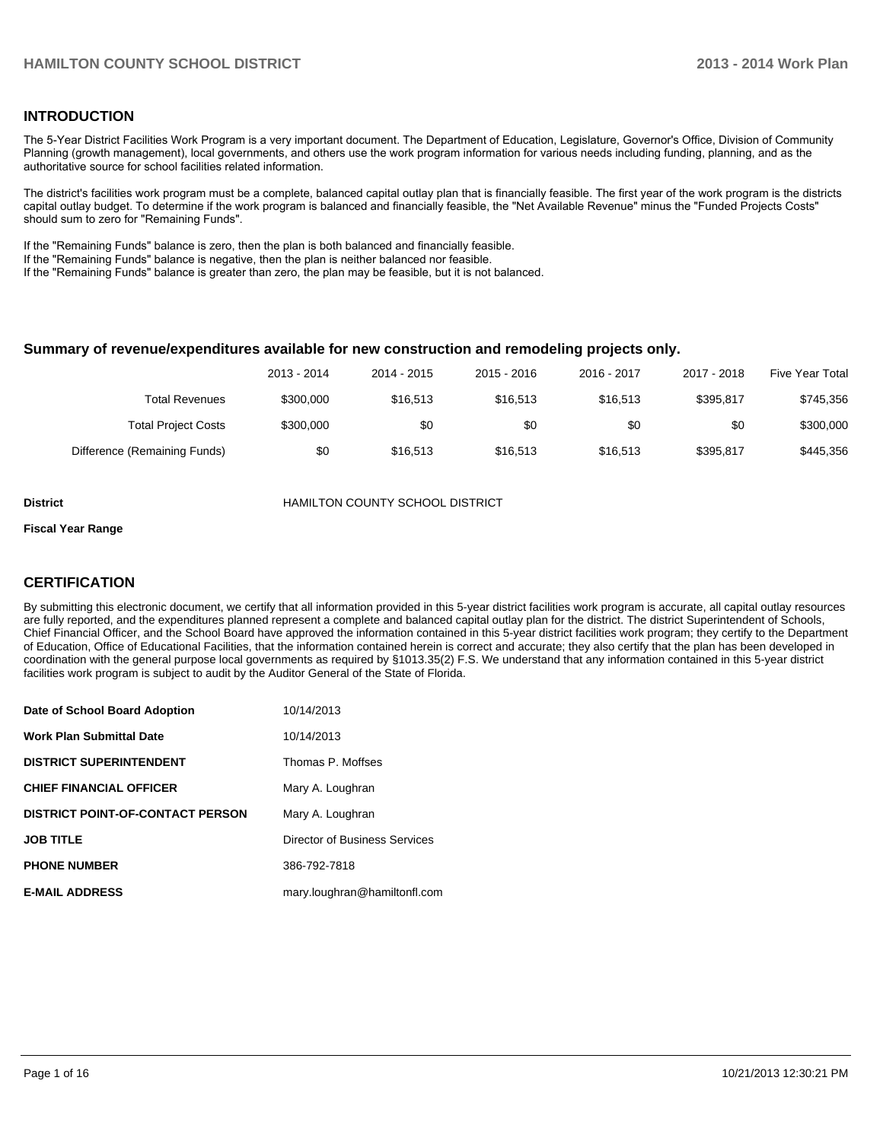# **INTRODUCTION**

The 5-Year District Facilities Work Program is a very important document. The Department of Education, Legislature, Governor's Office, Division of Community Planning (growth management), local governments, and others use the work program information for various needs including funding, planning, and as the authoritative source for school facilities related information.

The district's facilities work program must be a complete, balanced capital outlay plan that is financially feasible. The first year of the work program is the districts capital outlay budget. To determine if the work program is balanced and financially feasible, the "Net Available Revenue" minus the "Funded Projects Costs" should sum to zero for "Remaining Funds".

If the "Remaining Funds" balance is zero, then the plan is both balanced and financially feasible.

If the "Remaining Funds" balance is negative, then the plan is neither balanced nor feasible.

If the "Remaining Funds" balance is greater than zero, the plan may be feasible, but it is not balanced.

#### **Summary of revenue/expenditures available for new construction and remodeling projects only.**

| Five Year Total | 2017 - 2018 | 2016 - 2017 | 2015 - 2016 | 2014 - 2015 | 2013 - 2014 |                              |
|-----------------|-------------|-------------|-------------|-------------|-------------|------------------------------|
| \$745,356       | \$395.817   | \$16,513    | \$16,513    | \$16,513    | \$300,000   | Total Revenues               |
| \$300,000       | \$0         | \$0         | \$0         | \$0         | \$300,000   | <b>Total Project Costs</b>   |
| \$445,356       | \$395,817   | \$16,513    | \$16,513    | \$16,513    | \$0         | Difference (Remaining Funds) |

**District** HAMILTON COUNTY SCHOOL DISTRICT

#### **Fiscal Year Range**

# **CERTIFICATION**

By submitting this electronic document, we certify that all information provided in this 5-year district facilities work program is accurate, all capital outlay resources are fully reported, and the expenditures planned represent a complete and balanced capital outlay plan for the district. The district Superintendent of Schools, Chief Financial Officer, and the School Board have approved the information contained in this 5-year district facilities work program; they certify to the Department of Education, Office of Educational Facilities, that the information contained herein is correct and accurate; they also certify that the plan has been developed in coordination with the general purpose local governments as required by §1013.35(2) F.S. We understand that any information contained in this 5-year district facilities work program is subject to audit by the Auditor General of the State of Florida.

| Date of School Board Adoption           | 10/14/2013                    |
|-----------------------------------------|-------------------------------|
| <b>Work Plan Submittal Date</b>         | 10/14/2013                    |
| <b>DISTRICT SUPERINTENDENT</b>          | Thomas P. Moffses             |
| <b>CHIEF FINANCIAL OFFICER</b>          | Mary A. Loughran              |
| <b>DISTRICT POINT-OF-CONTACT PERSON</b> | Mary A. Loughran              |
| <b>JOB TITLE</b>                        | Director of Business Services |
| <b>PHONE NUMBER</b>                     | 386-792-7818                  |
| <b>E-MAIL ADDRESS</b>                   | mary.loughran@hamiltonfl.com  |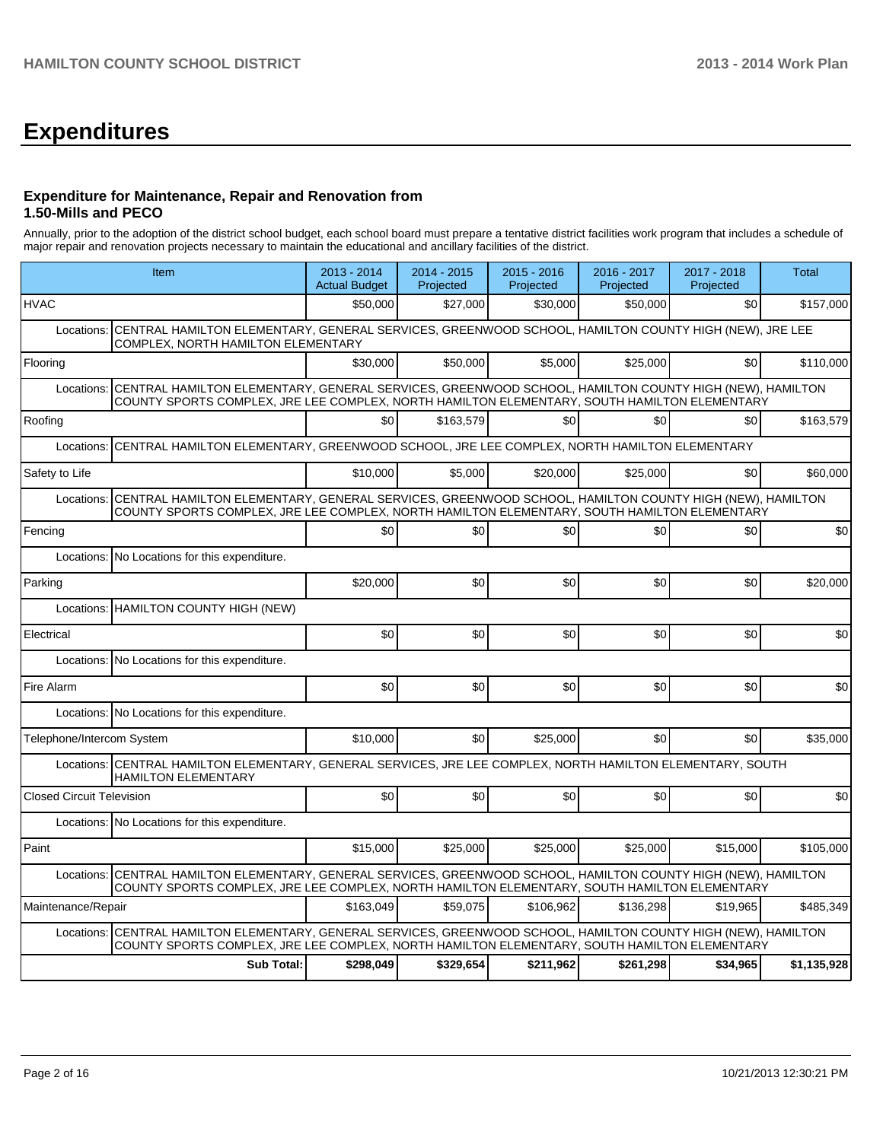# **Expenditures**

# **Expenditure for Maintenance, Repair and Renovation from 1.50-Mills and PECO**

Annually, prior to the adoption of the district school budget, each school board must prepare a tentative district facilities work program that includes a schedule of major repair and renovation projects necessary to maintain the educational and ancillary facilities of the district.

|                                  | Item                                                                                                                                                                                                  |           | 2014 - 2015<br>Projected | $2015 - 2016$<br>Projected | 2016 - 2017<br>Projected | 2017 - 2018<br>Projected | Total       |
|----------------------------------|-------------------------------------------------------------------------------------------------------------------------------------------------------------------------------------------------------|-----------|--------------------------|----------------------------|--------------------------|--------------------------|-------------|
| <b>HVAC</b>                      |                                                                                                                                                                                                       | \$50.000  | \$27,000                 | \$30,000                   | \$50,000                 | \$0                      | \$157,000   |
| Locations:                       | CENTRAL HAMILTON ELEMENTARY, GENERAL SERVICES, GREENWOOD SCHOOL, HAMILTON COUNTY HIGH (NEW), JRE LEE<br>COMPLEX, NORTH HAMILTON ELEMENTARY                                                            |           |                          |                            |                          |                          |             |
| Flooring                         |                                                                                                                                                                                                       | \$30.000  | \$50,000                 | \$5,000                    | \$25,000                 | \$0                      | \$110,000   |
| Locations:                       | CENTRAL HAMILTON ELEMENTARY, GENERAL SERVICES, GREENWOOD SCHOOL, HAMILTON COUNTY HIGH (NEW), HAMILTON<br>COUNTY SPORTS COMPLEX, JRE LEE COMPLEX, NORTH HAMILTON ELEMENTARY, SOUTH HAMILTON ELEMENTARY |           |                          |                            |                          |                          |             |
| Roofing                          |                                                                                                                                                                                                       | \$0       | \$163,579                | \$0                        | \$0                      | \$0                      | \$163,579   |
| Locations:                       | CENTRAL HAMILTON ELEMENTARY, GREENWOOD SCHOOL, JRE LEE COMPLEX, NORTH HAMILTON ELEMENTARY                                                                                                             |           |                          |                            |                          |                          |             |
| Safety to Life                   |                                                                                                                                                                                                       | \$10.000  | \$5,000                  | \$20,000                   | \$25,000                 | \$0                      | \$60,000    |
| Locations:                       | CENTRAL HAMILTON ELEMENTARY, GENERAL SERVICES, GREENWOOD SCHOOL, HAMILTON COUNTY HIGH (NEW), HAMILTON<br>COUNTY SPORTS COMPLEX, JRE LEE COMPLEX, NORTH HAMILTON ELEMENTARY, SOUTH HAMILTON ELEMENTARY |           |                          |                            |                          |                          |             |
| Fencing                          |                                                                                                                                                                                                       | \$0       | \$0                      | \$0                        | \$0                      | \$0                      | \$0         |
| Locations:                       | No Locations for this expenditure.                                                                                                                                                                    |           |                          |                            |                          |                          |             |
| Parking                          |                                                                                                                                                                                                       | \$20,000  | \$0                      | \$0                        | \$0                      | \$0                      | \$20,000    |
|                                  | Locations: HAMILTON COUNTY HIGH (NEW)                                                                                                                                                                 |           |                          |                            |                          |                          |             |
| Electrical                       |                                                                                                                                                                                                       | \$0       | \$0                      | \$0                        | \$0                      | \$0                      | \$0         |
| Locations:                       | No Locations for this expenditure.                                                                                                                                                                    |           |                          |                            |                          |                          |             |
| Fire Alarm                       |                                                                                                                                                                                                       | \$0       | \$0                      | \$0                        | \$0                      | \$0                      | \$0         |
|                                  | Locations: No Locations for this expenditure.                                                                                                                                                         |           |                          |                            |                          |                          |             |
| Telephone/Intercom System        |                                                                                                                                                                                                       | \$10.000  | \$0                      | \$25,000                   | \$0                      | \$0                      | \$35,000    |
|                                  | Locations: CENTRAL HAMILTON ELEMENTARY, GENERAL SERVICES, JRE LEE COMPLEX, NORTH HAMILTON ELEMENTARY, SOUTH<br><b>HAMILTON ELEMENTARY</b>                                                             |           |                          |                            |                          |                          |             |
| <b>Closed Circuit Television</b> |                                                                                                                                                                                                       | \$0       | \$0                      | \$0                        | \$0                      | \$0                      | \$0         |
|                                  | Locations: No Locations for this expenditure.                                                                                                                                                         |           |                          |                            |                          |                          |             |
| Paint                            |                                                                                                                                                                                                       | \$15,000  | \$25,000                 | \$25,000                   | \$25,000                 | \$15,000                 | \$105,000   |
| Locations:                       | CENTRAL HAMILTON ELEMENTARY, GENERAL SERVICES, GREENWOOD SCHOOL, HAMILTON COUNTY HIGH (NEW), HAMILTON<br>COUNTY SPORTS COMPLEX, JRE LEE COMPLEX, NORTH HAMILTON ELEMENTARY, SOUTH HAMILTON ELEMENTARY |           |                          |                            |                          |                          |             |
| Maintenance/Repair               |                                                                                                                                                                                                       | \$163,049 | \$59.075                 | \$106,962                  | \$136,298                | \$19,965                 | \$485,349   |
| Locations:                       | CENTRAL HAMILTON ELEMENTARY, GENERAL SERVICES, GREENWOOD SCHOOL, HAMILTON COUNTY HIGH (NEW), HAMILTON<br>COUNTY SPORTS COMPLEX, JRE LEE COMPLEX, NORTH HAMILTON ELEMENTARY, SOUTH HAMILTON ELEMENTARY |           |                          |                            |                          |                          |             |
|                                  | <b>Sub Total:</b>                                                                                                                                                                                     | \$298,049 | \$329,654                | \$211,962                  | \$261,298                | \$34,965                 | \$1,135,928 |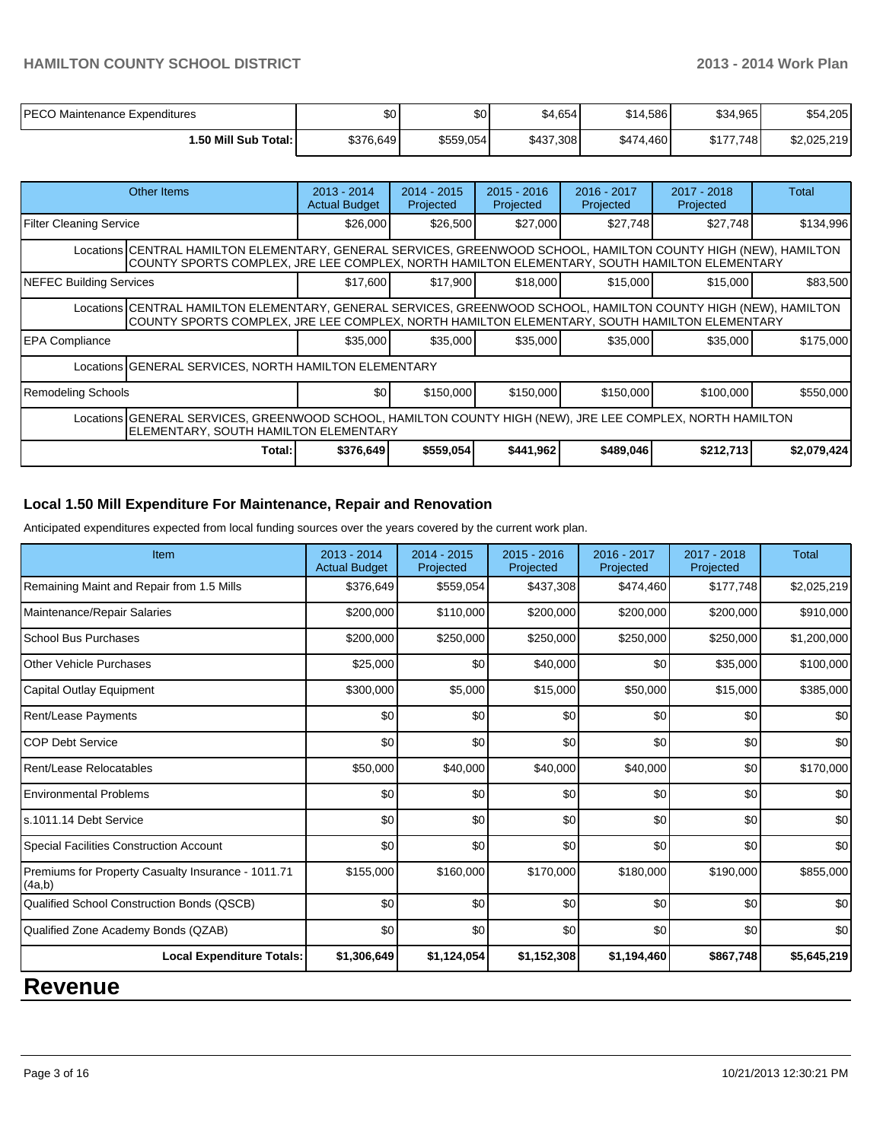| PECO Maintenance Expenditures | \$0 <sub>0</sub> | \$0       | \$4,654   | \$14,586  | \$34.965  | \$54,205    |
|-------------------------------|------------------|-----------|-----------|-----------|-----------|-------------|
| 50 Mill Sub Total: I          | \$376,649        | \$559,054 | \$437,308 | \$474,460 | \$177,748 | \$2,025,219 |

|                                                                                                                                                                                                                 | Other Items                                                                                                                                                                                                     | $2013 - 2014$<br><b>Actual Budget</b> | $2014 - 2015$<br>Projected | $2015 - 2016$<br>Projected | 2016 - 2017<br>Projected | $2017 - 2018$<br>Projected | Total       |  |  |
|-----------------------------------------------------------------------------------------------------------------------------------------------------------------------------------------------------------------|-----------------------------------------------------------------------------------------------------------------------------------------------------------------------------------------------------------------|---------------------------------------|----------------------------|----------------------------|--------------------------|----------------------------|-------------|--|--|
| Filter Cleaning Service                                                                                                                                                                                         |                                                                                                                                                                                                                 | \$26,000                              | \$26,500                   | \$27,000                   | \$27,748                 | \$27,748                   | \$134,996   |  |  |
|                                                                                                                                                                                                                 | Locations CENTRAL HAMILTON ELEMENTARY, GENERAL SERVICES, GREENWOOD SCHOOL, HAMILTON COUNTY HIGH (NEW), HAMILTON<br>COUNTY SPORTS COMPLEX, JRE LEE COMPLEX, NORTH HAMILTON ELEMENTARY, SOUTH HAMILTON ELEMENTARY |                                       |                            |                            |                          |                            |             |  |  |
| NEFEC Building Services                                                                                                                                                                                         |                                                                                                                                                                                                                 | \$17,600                              | \$17,900                   | \$18,000                   | \$15,000                 | \$15,000                   | \$83,500    |  |  |
| Locations CENTRAL HAMILTON ELEMENTARY, GENERAL SERVICES, GREENWOOD SCHOOL, HAMILTON COUNTY HIGH (NEW), HAMILTON<br>COUNTY SPORTS COMPLEX, JRE LEE COMPLEX, NORTH HAMILTON ELEMENTARY, SOUTH HAMILTON ELEMENTARY |                                                                                                                                                                                                                 |                                       |                            |                            |                          |                            |             |  |  |
| <b>EPA Compliance</b>                                                                                                                                                                                           |                                                                                                                                                                                                                 | \$35,000                              | \$35,000                   | \$35,000                   | \$35,000                 | \$35,000                   | \$175,000   |  |  |
|                                                                                                                                                                                                                 | Locations GENERAL SERVICES, NORTH HAMILTON ELEMENTARY                                                                                                                                                           |                                       |                            |                            |                          |                            |             |  |  |
| Remodeling Schools                                                                                                                                                                                              |                                                                                                                                                                                                                 | \$0 <sub>0</sub>                      | \$150,000                  | \$150,000                  | \$150,000                | \$100,000                  | \$550,000   |  |  |
| Locations GENERAL SERVICES, GREENWOOD SCHOOL, HAMILTON COUNTY HIGH (NEW), JRE LEE COMPLEX, NORTH HAMILTON<br>ELEMENTARY, SOUTH HAMILTON ELEMENTARY                                                              |                                                                                                                                                                                                                 |                                       |                            |                            |                          |                            |             |  |  |
|                                                                                                                                                                                                                 | Total:                                                                                                                                                                                                          | \$376,649                             | \$559,054                  | \$441,962                  | \$489,046                | \$212,713                  | \$2,079,424 |  |  |

# **Local 1.50 Mill Expenditure For Maintenance, Repair and Renovation**

Anticipated expenditures expected from local funding sources over the years covered by the current work plan.

| Item                                                         | 2013 - 2014<br><b>Actual Budget</b> | $2014 - 2015$<br>Projected | 2015 - 2016<br>Projected | 2016 - 2017<br>Projected | 2017 - 2018<br>Projected | <b>Total</b> |
|--------------------------------------------------------------|-------------------------------------|----------------------------|--------------------------|--------------------------|--------------------------|--------------|
| Remaining Maint and Repair from 1.5 Mills                    | \$376,649                           | \$559,054                  | \$437,308                | \$474,460                | \$177,748                | \$2,025,219  |
| Maintenance/Repair Salaries                                  | \$200,000                           | \$110,000                  | \$200,000                | \$200,000                | \$200,000                | \$910,000    |
| <b>School Bus Purchases</b>                                  | \$200,000                           | \$250,000                  | \$250,000                | \$250,000                | \$250,000                | \$1,200,000  |
| <b>Other Vehicle Purchases</b>                               | \$25,000                            | \$0                        | \$40,000                 | \$0                      | \$35,000                 | \$100,000    |
| Capital Outlay Equipment                                     | \$300,000                           | \$5,000                    | \$15,000                 | \$50,000                 | \$15,000                 | \$385,000    |
| <b>Rent/Lease Payments</b>                                   | \$0                                 | \$0                        | \$0                      | \$0                      | \$0                      | \$0          |
| <b>COP Debt Service</b>                                      | \$0                                 | \$0                        | \$0                      | \$0                      | \$0                      | \$0          |
| Rent/Lease Relocatables                                      | \$50,000                            | \$40,000                   | \$40,000                 | \$40,000                 | \$0                      | \$170,000    |
| <b>Environmental Problems</b>                                | \$0                                 | \$0                        | \$0                      | \$0                      | \$0                      | \$0          |
| s.1011.14 Debt Service                                       | \$0                                 | \$0                        | \$0                      | \$0                      | \$0                      | \$0          |
| <b>Special Facilities Construction Account</b>               | \$0                                 | \$0                        | \$0                      | \$0                      | \$0                      | \$0          |
| Premiums for Property Casualty Insurance - 1011.71<br>(4a,b) | \$155,000                           | \$160,000                  | \$170,000                | \$180,000                | \$190,000                | \$855,000    |
| Qualified School Construction Bonds (QSCB)                   | \$0                                 | \$0                        | \$0                      | \$0                      | \$0                      | \$0          |
| Qualified Zone Academy Bonds (QZAB)                          | \$0                                 | \$0                        | \$0                      | \$0                      | \$0                      | \$0          |
| <b>Local Expenditure Totals:</b>                             | \$1,306,649                         | \$1,124,054                | \$1,152,308              | \$1,194,460              | \$867,748                | \$5,645,219  |

# **Revenue**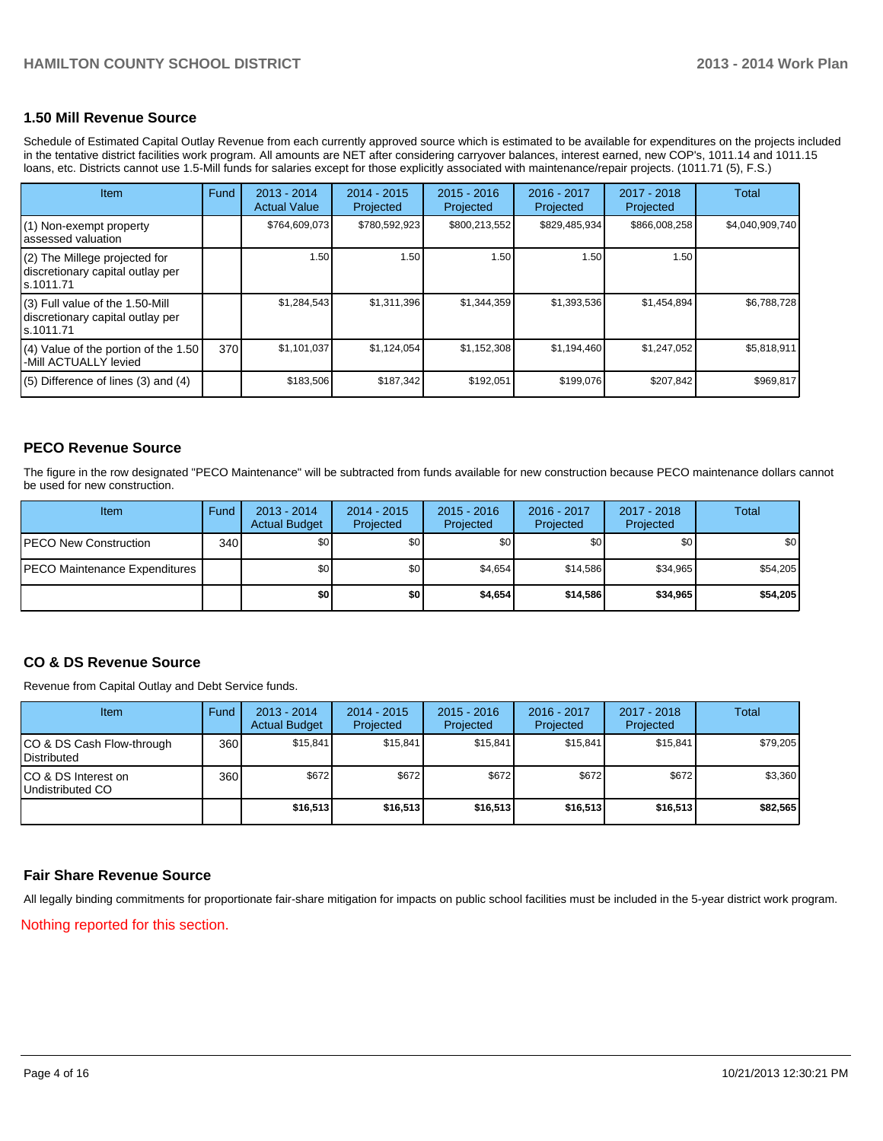# **1.50 Mill Revenue Source**

Schedule of Estimated Capital Outlay Revenue from each currently approved source which is estimated to be available for expenditures on the projects included in the tentative district facilities work program. All amounts are NET after considering carryover balances, interest earned, new COP's, 1011.14 and 1011.15 loans, etc. Districts cannot use 1.5-Mill funds for salaries except for those explicitly associated with maintenance/repair projects. (1011.71 (5), F.S.)

| <b>Item</b>                                                                      | Fund | $2013 - 2014$<br><b>Actual Value</b> | $2014 - 2015$<br>Projected | $2015 - 2016$<br>Projected | $2016 - 2017$<br>Projected | $2017 - 2018$<br>Projected | Total           |
|----------------------------------------------------------------------------------|------|--------------------------------------|----------------------------|----------------------------|----------------------------|----------------------------|-----------------|
| (1) Non-exempt property<br>assessed valuation                                    |      | \$764,609,073                        | \$780,592,923              | \$800,213,552              | \$829,485,934              | \$866,008,258              | \$4,040,909,740 |
| (2) The Millege projected for<br>discretionary capital outlay per<br>s.1011.71   |      | 1.50                                 | 1.50                       | 1.50                       | 1.50                       | 1.50                       |                 |
| (3) Full value of the 1.50-Mill<br>discretionary capital outlay per<br>s.1011.71 |      | \$1,284,543                          | \$1,311,396                | \$1,344,359                | \$1,393,536                | \$1,454,894                | \$6,788,728     |
| (4) Value of the portion of the 1.50<br>-Mill ACTUALLY levied                    | 370  | \$1,101,037                          | \$1,124,054                | \$1,152,308                | \$1,194,460                | \$1,247,052                | \$5,818,911     |
| $(5)$ Difference of lines (3) and (4)                                            |      | \$183,506                            | \$187,342                  | \$192,051                  | \$199,076                  | \$207,842                  | \$969,817       |

# **PECO Revenue Source**

The figure in the row designated "PECO Maintenance" will be subtracted from funds available for new construction because PECO maintenance dollars cannot be used for new construction.

| Item                                  | Fund | $2013 - 2014$<br><b>Actual Budget</b> | $2014 - 2015$<br>Projected | $2015 - 2016$<br>Projected | 2016 - 2017<br>Projected | 2017 - 2018<br>Projected | <b>Total</b> |
|---------------------------------------|------|---------------------------------------|----------------------------|----------------------------|--------------------------|--------------------------|--------------|
| <b>IPECO New Construction</b>         | 340  | \$0                                   | \$0                        | \$0                        | \$0                      | \$0                      | \$0          |
| <b>IPECO Maintenance Expenditures</b> |      | \$٥Ι                                  | \$0                        | \$4,654                    | \$14.586                 | \$34,965                 | \$54,205     |
|                                       |      | \$0                                   | \$0                        | \$4,654                    | \$14,586                 | \$34,965                 | \$54,205     |

# **CO & DS Revenue Source**

Revenue from Capital Outlay and Debt Service funds.

| Item                                               | Fund | $2013 - 2014$<br><b>Actual Budget</b> | $2014 - 2015$<br>Projected | $2015 - 2016$<br>Projected | 2016 - 2017<br>Projected | $2017 - 2018$<br>Projected | Total    |
|----------------------------------------------------|------|---------------------------------------|----------------------------|----------------------------|--------------------------|----------------------------|----------|
| ICO & DS Cash Flow-through<br><b>I</b> Distributed | 360  | \$15.841                              | \$15.841                   | \$15.841                   | \$15.841                 | \$15.841                   | \$79,205 |
| ICO & DS Interest on<br>Undistributed CO           | 360  | \$672                                 | \$672                      | \$672                      | \$672                    | \$672                      | \$3,360  |
|                                                    |      | \$16,513                              | \$16,513                   | \$16,513                   | \$16,513                 | \$16,513                   | \$82,565 |

#### **Fair Share Revenue Source**

Nothing reported for this section. All legally binding commitments for proportionate fair-share mitigation for impacts on public school facilities must be included in the 5-year district work program.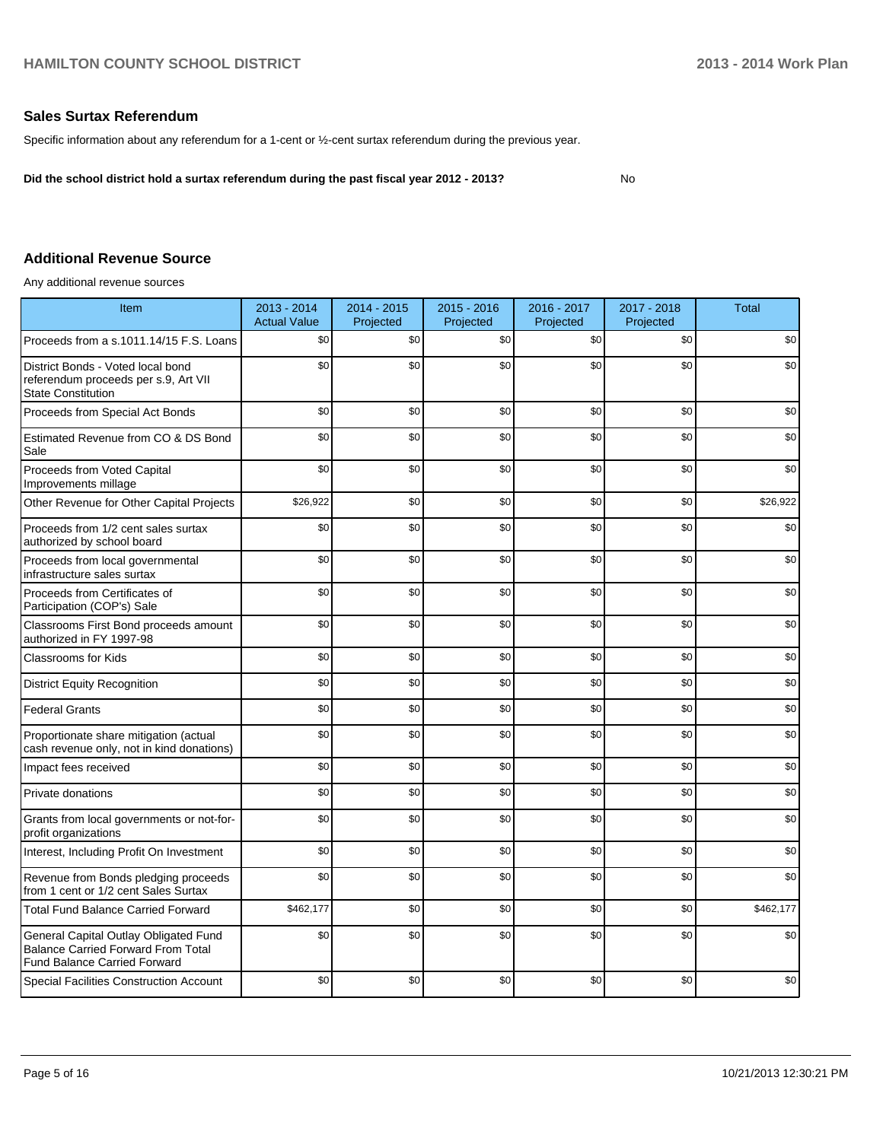# **Sales Surtax Referendum**

Specific information about any referendum for a 1-cent or ½-cent surtax referendum during the previous year.

**Did the school district hold a surtax referendum during the past fiscal year 2012 - 2013?**

No

# **Additional Revenue Source**

Any additional revenue sources

| Item                                                                                                                      | 2013 - 2014<br><b>Actual Value</b> | 2014 - 2015<br>Projected | $2015 - 2016$<br>Projected | 2016 - 2017<br>Projected | 2017 - 2018<br>Projected | <b>Total</b> |
|---------------------------------------------------------------------------------------------------------------------------|------------------------------------|--------------------------|----------------------------|--------------------------|--------------------------|--------------|
| Proceeds from a s.1011.14/15 F.S. Loans                                                                                   | \$0                                | \$0                      | \$0                        | \$0                      | \$0                      | \$0          |
| District Bonds - Voted local bond<br>referendum proceeds per s.9, Art VII<br><b>State Constitution</b>                    | \$0                                | \$0                      | \$0                        | \$0                      | \$0                      | \$0          |
| Proceeds from Special Act Bonds                                                                                           | \$0                                | \$0                      | \$0                        | \$0                      | \$0                      | \$0          |
| Estimated Revenue from CO & DS Bond<br>Sale                                                                               | \$0                                | \$0                      | \$0                        | \$0                      | \$0                      | \$0          |
| Proceeds from Voted Capital<br>Improvements millage                                                                       | \$0                                | \$0                      | \$0                        | \$0                      | \$0                      | \$0          |
| Other Revenue for Other Capital Projects                                                                                  | \$26,922                           | \$0                      | \$0                        | \$0                      | \$0                      | \$26,922     |
| Proceeds from 1/2 cent sales surtax<br>authorized by school board                                                         | \$0                                | \$0                      | \$0                        | \$0                      | \$0                      | \$0          |
| Proceeds from local governmental<br>infrastructure sales surtax                                                           | \$0                                | \$0                      | \$0                        | \$0                      | \$0                      | \$0          |
| Proceeds from Certificates of<br>Participation (COP's) Sale                                                               | \$0                                | \$0                      | \$0                        | \$0                      | \$0                      | \$0          |
| Classrooms First Bond proceeds amount<br>authorized in FY 1997-98                                                         | \$0                                | \$0                      | \$0                        | \$0                      | \$0                      | \$0          |
| <b>Classrooms for Kids</b>                                                                                                | \$0                                | \$0                      | \$0                        | \$0                      | \$0                      | \$0          |
| <b>District Equity Recognition</b>                                                                                        | \$0                                | \$0                      | \$0                        | \$0                      | \$0                      | \$0          |
| <b>Federal Grants</b>                                                                                                     | \$0                                | \$0                      | \$0                        | \$0                      | \$0                      | \$0          |
| Proportionate share mitigation (actual<br>cash revenue only, not in kind donations)                                       | \$0                                | \$0                      | \$0                        | \$0                      | \$0                      | \$0          |
| Impact fees received                                                                                                      | \$0                                | \$0                      | \$0                        | \$0                      | \$0                      | \$0          |
| Private donations                                                                                                         | \$0                                | \$0                      | \$0                        | \$0                      | \$0                      | \$0          |
| Grants from local governments or not-for-<br>profit organizations                                                         | \$0                                | \$0                      | \$0                        | \$0                      | \$0                      | \$0          |
| Interest, Including Profit On Investment                                                                                  | \$0                                | \$0                      | \$0                        | \$0                      | \$0                      | \$0          |
| Revenue from Bonds pledging proceeds<br>from 1 cent or 1/2 cent Sales Surtax                                              | \$0                                | \$0                      | \$0                        | \$0                      | \$0                      | \$0          |
| <b>Total Fund Balance Carried Forward</b>                                                                                 | \$462,177                          | \$0                      | \$0                        | \$0                      | \$0                      | \$462.177    |
| General Capital Outlay Obligated Fund<br><b>Balance Carried Forward From Total</b><br><b>Fund Balance Carried Forward</b> | \$0                                | \$0                      | \$0                        | \$0                      | \$0                      | \$0          |
| <b>Special Facilities Construction Account</b>                                                                            | \$0                                | \$0                      | \$0                        | \$0                      | \$0                      | \$0          |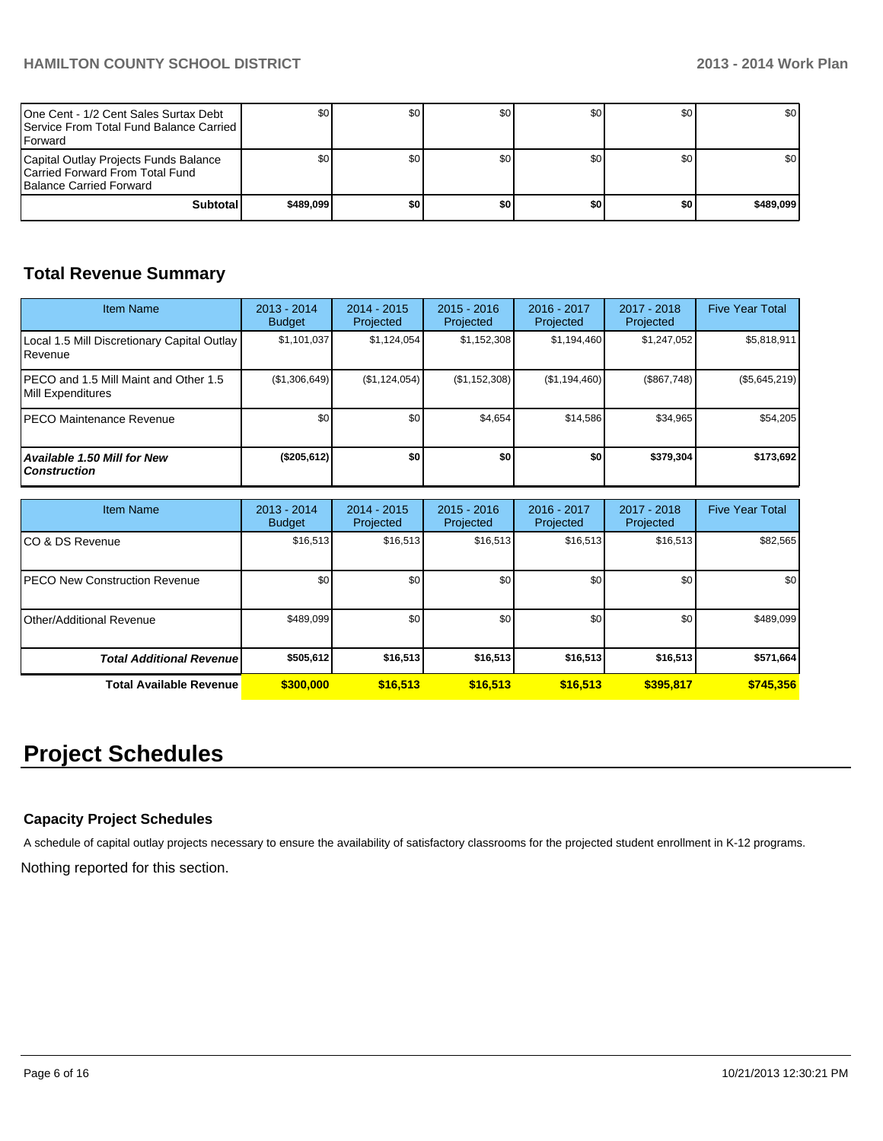| One Cent - 1/2 Cent Sales Surtax Debt<br><b>I</b> Service From Total Fund Balance Carried I<br><b>I</b> Forward | \$0       | <b>SO</b> | \$0 | SO I | \$0 | <b>SO</b> I      |
|-----------------------------------------------------------------------------------------------------------------|-----------|-----------|-----|------|-----|------------------|
| Capital Outlay Projects Funds Balance<br>Carried Forward From Total Fund<br><b>Balance Carried Forward</b>      |           | \$0       | \$0 | SO I | \$0 | \$0 <sub>1</sub> |
| Subtotal                                                                                                        | \$489,099 | \$0       | \$0 | \$0  | \$0 | \$489.099        |

# **Total Revenue Summary**

| <b>Item Name</b>                                            | 2013 - 2014<br><b>Budget</b> | $2014 - 2015$<br>Projected | $2015 - 2016$<br>Projected | 2016 - 2017<br>Projected | $2017 - 2018$<br>Projected | <b>Five Year Total</b> |
|-------------------------------------------------------------|------------------------------|----------------------------|----------------------------|--------------------------|----------------------------|------------------------|
| Local 1.5 Mill Discretionary Capital Outlay<br>Revenue      | \$1,101,037                  | \$1,124,054                | \$1,152,308                | \$1,194,460              | \$1,247,052                | \$5,818,911            |
| IPECO and 1.5 Mill Maint and Other 1.5<br>Mill Expenditures | (\$1,306,649)                | (\$1,124,054)              | (S1, 152, 308)             | (S1, 194, 460)           | (\$867,748)                | $(\$5,645,219)$        |
| IPECO Maintenance Revenue                                   | \$0                          | \$0                        | \$4,654                    | \$14,586                 | \$34,965                   | \$54,205               |
| <b>Available 1.50 Mill for New</b><br><b>Construction</b>   | (\$205,612)                  | \$0                        | \$0                        | \$0                      | \$379,304                  | \$173,692              |

| <b>Item Name</b>                      | 2013 - 2014<br><b>Budget</b> | $2014 - 2015$<br>Projected | $2015 - 2016$<br>Projected | 2016 - 2017<br>Projected | 2017 - 2018<br>Projected | <b>Five Year Total</b> |
|---------------------------------------|------------------------------|----------------------------|----------------------------|--------------------------|--------------------------|------------------------|
| ICO & DS Revenue                      | \$16,513                     | \$16,513                   | \$16,513                   | \$16,513                 | \$16,513                 | \$82,565               |
| <b>IPECO New Construction Revenue</b> | \$0 <sub>1</sub>             | \$0                        | \$0                        | \$0                      | \$0                      | \$0                    |
| Other/Additional Revenue              | \$489.099                    | \$0                        | \$0                        | \$0                      | \$0                      | \$489,099              |
| <b>Total Additional Revenuel</b>      | \$505,612                    | \$16,513                   | \$16,513                   | \$16,513                 | \$16,513                 | \$571,664              |
| <b>Total Available Revenue</b>        | \$300,000                    | \$16,513                   | \$16.513                   | \$16,513                 | \$395.817                | \$745,356              |

# **Project Schedules**

# **Capacity Project Schedules**

A schedule of capital outlay projects necessary to ensure the availability of satisfactory classrooms for the projected student enrollment in K-12 programs.

Nothing reported for this section.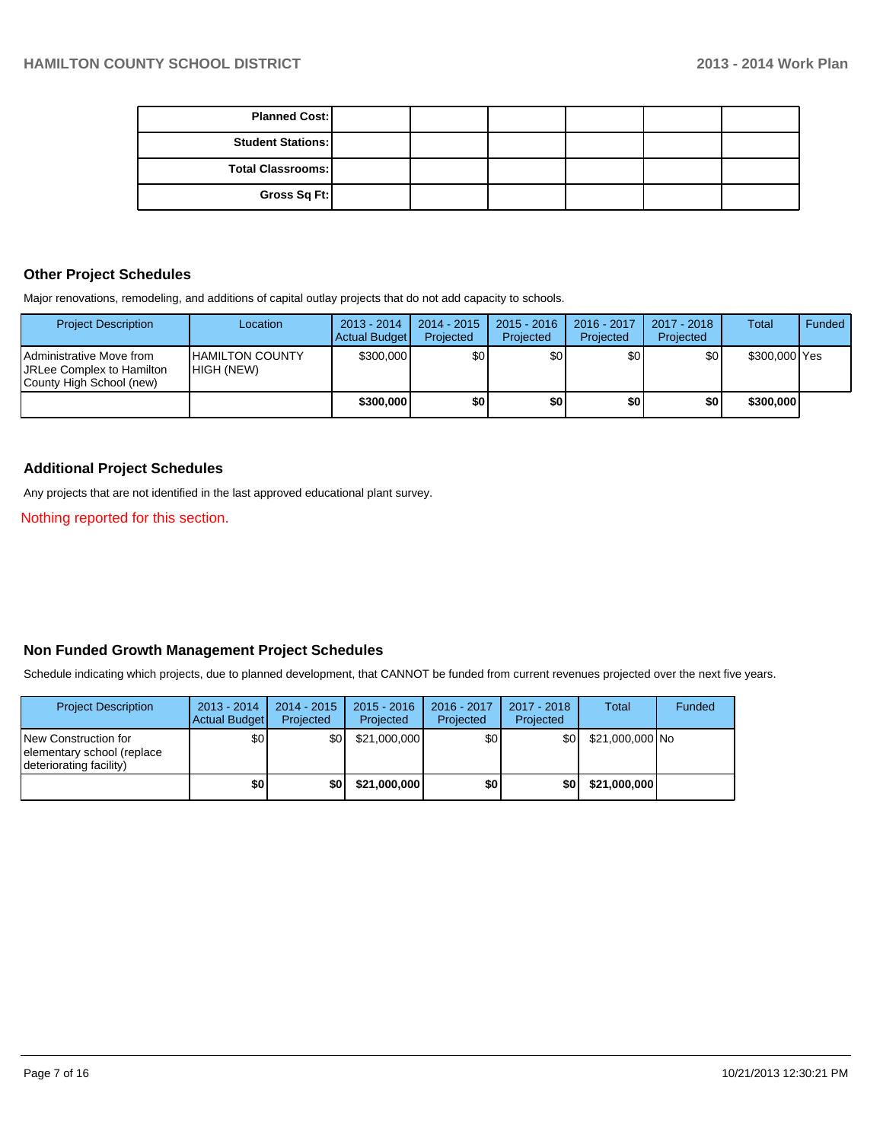| <b>Planned Cost:</b>     |  |  |  |
|--------------------------|--|--|--|
| <b>Student Stations:</b> |  |  |  |
| Total Classrooms:        |  |  |  |
| Gross Sq Ft:             |  |  |  |

#### **Other Project Schedules**

Major renovations, remodeling, and additions of capital outlay projects that do not add capacity to schools.

| <b>Project Description</b>                                                                | Location                               | $2013 - 2014$<br>Actual Budget | $2014 - 2015$<br>Projected | $2015 - 2016$<br>Projected | 2016 - 2017<br>Projected | 2017 - 2018<br>Projected | <b>Total</b>  | Funded |
|-------------------------------------------------------------------------------------------|----------------------------------------|--------------------------------|----------------------------|----------------------------|--------------------------|--------------------------|---------------|--------|
| <b>IAdministrative Move from</b><br>JRLee Complex to Hamilton<br>County High School (new) | <b>I</b> HAMILTON COUNTY<br>HIGH (NEW) | \$300,000                      | \$0 <sub>l</sub>           | \$0                        | \$0                      | \$0                      | \$300,000 Yes |        |
|                                                                                           |                                        | \$300,000                      | \$0                        | \$0                        | \$0                      | \$0                      | \$300,000     |        |

# **Additional Project Schedules**

Any projects that are not identified in the last approved educational plant survey.

Nothing reported for this section.

# **Non Funded Growth Management Project Schedules**

Schedule indicating which projects, due to planned development, that CANNOT be funded from current revenues projected over the next five years.

| <b>Project Description</b>                                                    | $2013 - 2014$<br>Actual Budget | $2014 - 2015$<br>Projected | $2015 - 2016$<br><b>Projected</b> | 2016 - 2017<br>Projected | 2017 - 2018<br>Projected | <b>Total</b>    | Funded |
|-------------------------------------------------------------------------------|--------------------------------|----------------------------|-----------------------------------|--------------------------|--------------------------|-----------------|--------|
| New Construction for<br>elementary school (replace<br>deteriorating facility) | \$0                            | \$0                        | \$21,000,000                      | \$0l                     | \$0 <sub>1</sub>         | \$21,000,000 No |        |
|                                                                               | \$0                            | \$0                        | \$21,000,000                      | \$0                      | \$0                      | \$21,000,000    |        |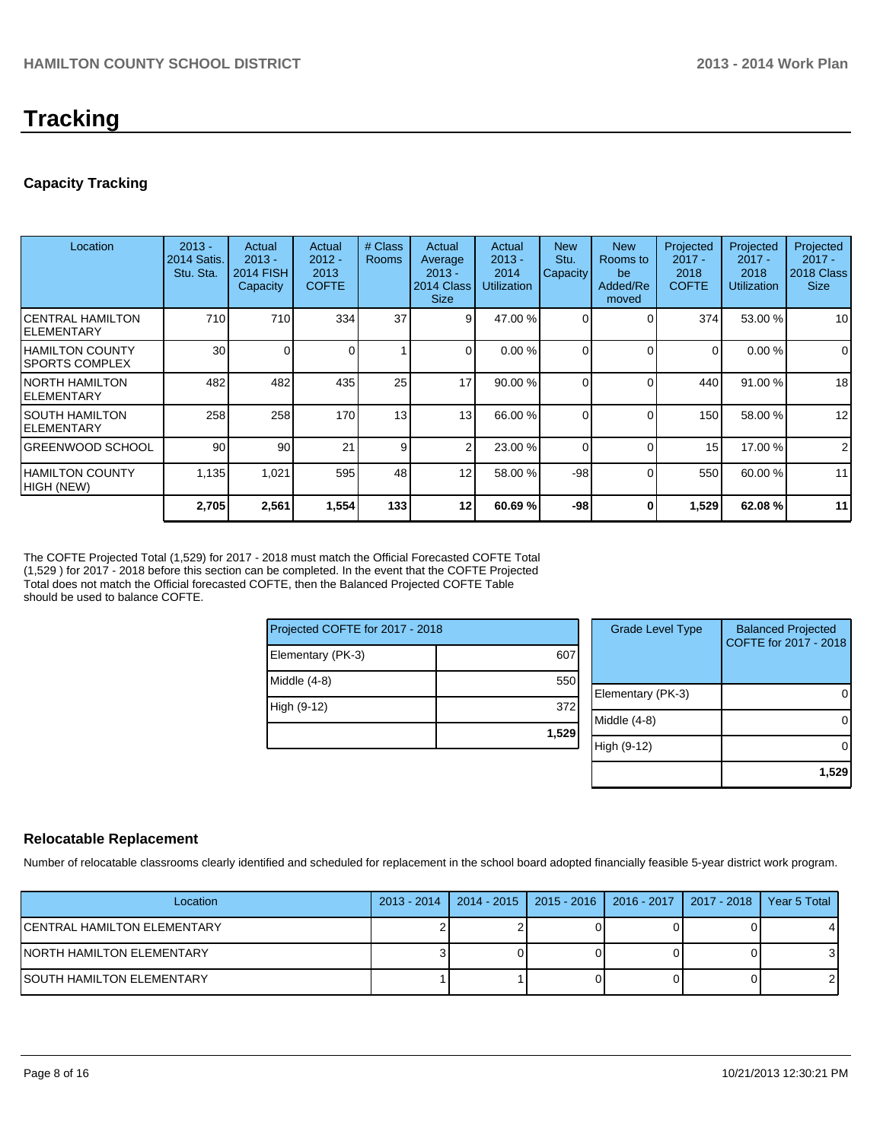# **Tracking**

# **Capacity Tracking**

| Location                            | $2013 -$<br>2014 Satis.<br>Stu. Sta. | Actual<br>$2013 -$<br><b>2014 FISH</b><br><b>Capacity</b> | Actual<br>$2012 -$<br>2013<br><b>COFTE</b> | # Class<br><b>Rooms</b> | Actual<br>Average<br>$2013 -$<br>2014 Class<br><b>Size</b> | Actual<br>$2013 -$<br>2014<br><b>Utilization</b> | <b>New</b><br>Stu.<br>Capacity | <b>New</b><br>Rooms to<br>be<br>Added/Re<br>moved | Projected<br>$2017 -$<br>2018<br><b>COFTE</b> | Projected<br>$2017 -$<br>2018<br><b>Utilization</b> | Projected<br>$2017 -$<br>2018 Class<br><b>Size</b> |
|-------------------------------------|--------------------------------------|-----------------------------------------------------------|--------------------------------------------|-------------------------|------------------------------------------------------------|--------------------------------------------------|--------------------------------|---------------------------------------------------|-----------------------------------------------|-----------------------------------------------------|----------------------------------------------------|
| ICENTRAL HAMILTON<br>IELEMENTARY    | 710                                  | 710                                                       | 334                                        | 37                      | 9 <sub>l</sub>                                             | 47.00 %                                          | $\Omega$                       |                                                   | 374                                           | 53.00 %                                             | 10 <sup>1</sup>                                    |
| IHAMILTON COUNTY<br>ISPORTS COMPLEX | 30                                   |                                                           |                                            |                         | $\Omega$                                                   | 0.00%                                            | 0                              | $\Omega$                                          | $\Omega$                                      | 0.00%                                               | $\overline{0}$                                     |
| INORTH HAMILTON<br>IELEMENTARY      | 482                                  | 482                                                       | 435                                        | 25                      | 17                                                         | 90.00%                                           |                                |                                                   | 440                                           | 91.00 %                                             | 18                                                 |
| I SOUTH HAMILTON<br>IELEMENTARY     | 258                                  | 258                                                       | 170                                        | 13 <sub>1</sub>         | 13                                                         | 66.00 %                                          | $\Omega$                       | $\Omega$                                          | 150                                           | 58.00 %                                             | 12                                                 |
| IGREENWOOD SCHOOL                   | 90                                   | 90                                                        | 21                                         | 9                       | $\mathcal{P}$                                              | 23.00 %                                          | $\Omega$                       |                                                   | 15                                            | 17.00 %                                             | $\overline{2}$                                     |
| IHAMILTON COUNTY<br>HIGH (NEW)      | 1,135                                | 1,021                                                     | 595                                        | 48                      | 12 <sup>1</sup>                                            | 58.00 %                                          | $-98$                          | $\Omega$                                          | 550                                           | 60.00 %                                             | 11                                                 |
|                                     | 2,705                                | 2,561                                                     | 1,554                                      | 133                     | 12 <sup>1</sup>                                            | 60.69 %                                          | $-98$                          | 0                                                 | 1,529                                         | 62.08%                                              | 11                                                 |

The COFTE Projected Total (1,529) for 2017 - 2018 must match the Official Forecasted COFTE Total (1,529 ) for 2017 - 2018 before this section can be completed. In the event that the COFTE Projected Total does not match the Official forecasted COFTE, then the Balanced Projected COFTE Table should be used to balance COFTE.

| Projected COFTE for 2017 - 2018 |       |
|---------------------------------|-------|
| Elementary (PK-3)               | 607   |
| Middle (4-8)                    | 550   |
| High (9-12)                     | 372   |
|                                 | 1,529 |

| <b>Grade Level Type</b> | <b>Balanced Projected</b><br>COFTE for 2017 - 2018 |
|-------------------------|----------------------------------------------------|
| Elementary (PK-3)       |                                                    |
| Middle (4-8)            |                                                    |
| High (9-12)             |                                                    |
|                         | 1,529                                              |

#### **Relocatable Replacement**

Number of relocatable classrooms clearly identified and scheduled for replacement in the school board adopted financially feasible 5-year district work program.

| Location                     |  | 2013 - 2014   2014 - 2015   2015 - 2016   2016 - 2017   2017 - 2018   Year 5 Total |  |
|------------------------------|--|------------------------------------------------------------------------------------|--|
| ICENTRAL HAMILTON ELEMENTARY |  |                                                                                    |  |
| INORTH HAMILTON ELEMENTARY   |  |                                                                                    |  |
| ISOUTH HAMILTON ELEMENTARY   |  |                                                                                    |  |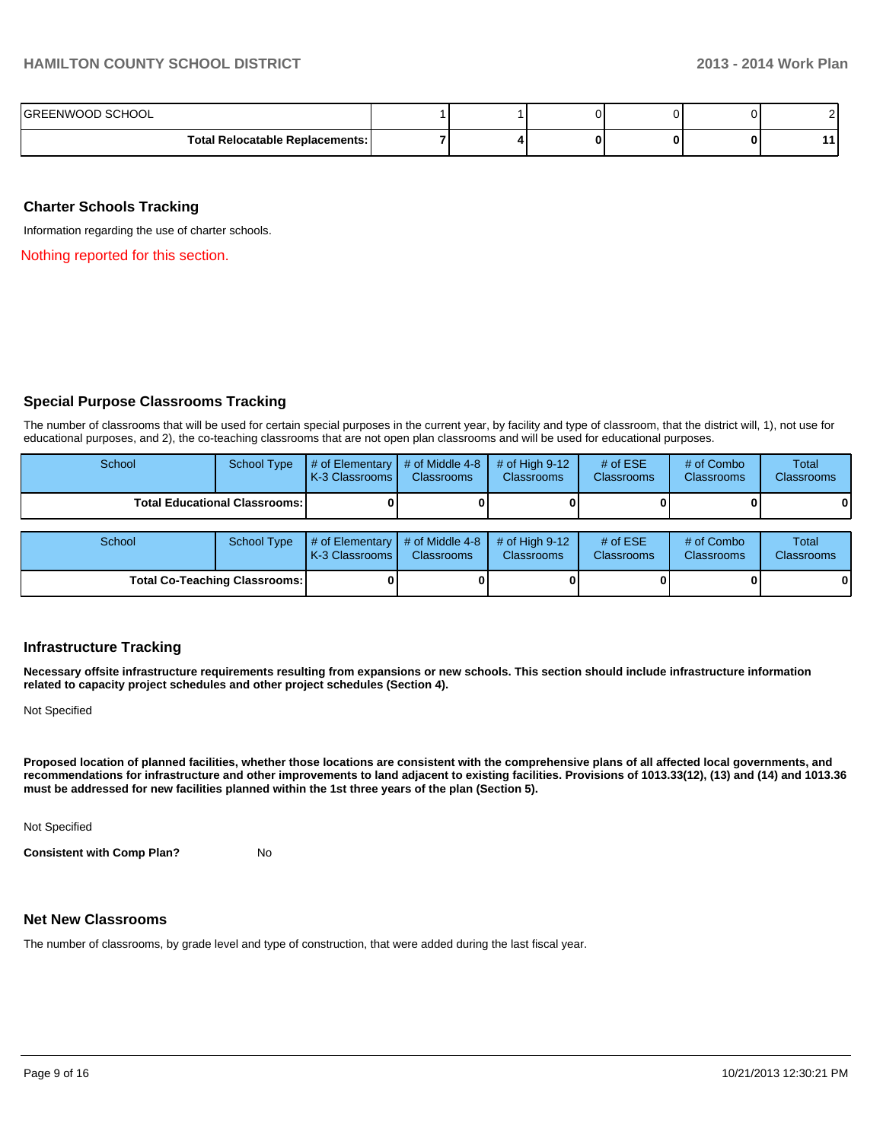| IGREENWOOD SCHOOL                 |  |  |  |
|-----------------------------------|--|--|--|
| Total Relocatable Replacements: I |  |  |  |

#### **Charter Schools Tracking**

Information regarding the use of charter schools.

Nothing reported for this section.

# **Special Purpose Classrooms Tracking**

The number of classrooms that will be used for certain special purposes in the current year, by facility and type of classroom, that the district will, 1), not use for educational purposes, and 2), the co-teaching classrooms that are not open plan classrooms and will be used for educational purposes.

| School | <b>School Type</b>                   | # of Elementary<br>K-3 Classrooms | # of Middle 4-8<br><b>Classrooms</b> | # of High $9-12$<br><b>Classrooms</b> | # of $ESE$<br><b>Classrooms</b> | # of Combo<br><b>Classrooms</b> | <b>Total</b><br><b>Classrooms</b> |
|--------|--------------------------------------|-----------------------------------|--------------------------------------|---------------------------------------|---------------------------------|---------------------------------|-----------------------------------|
|        | <b>Total Educational Classrooms:</b> |                                   |                                      |                                       |                                 |                                 | 0                                 |
|        |                                      |                                   |                                      |                                       |                                 |                                 |                                   |
| School | <b>School Type</b>                   | # of Elementary<br>K-3 Classrooms | # of Middle 4-8<br><b>Classrooms</b> | # of High $9-12$<br><b>Classrooms</b> | # of $ESE$<br><b>Classrooms</b> | # of Combo<br><b>Classrooms</b> | Total<br><b>Classrooms</b>        |
|        | <b>Total Co-Teaching Classrooms:</b> |                                   |                                      |                                       |                                 |                                 | $\mathbf{0}$                      |

#### **Infrastructure Tracking**

**Necessary offsite infrastructure requirements resulting from expansions or new schools. This section should include infrastructure information related to capacity project schedules and other project schedules (Section 4).**

Not Specified

**Proposed location of planned facilities, whether those locations are consistent with the comprehensive plans of all affected local governments, and recommendations for infrastructure and other improvements to land adjacent to existing facilities. Provisions of 1013.33(12), (13) and (14) and 1013.36 must be addressed for new facilities planned within the 1st three years of the plan (Section 5).**

Not Specified

**Consistent with Comp Plan?** No

#### **Net New Classrooms**

The number of classrooms, by grade level and type of construction, that were added during the last fiscal year.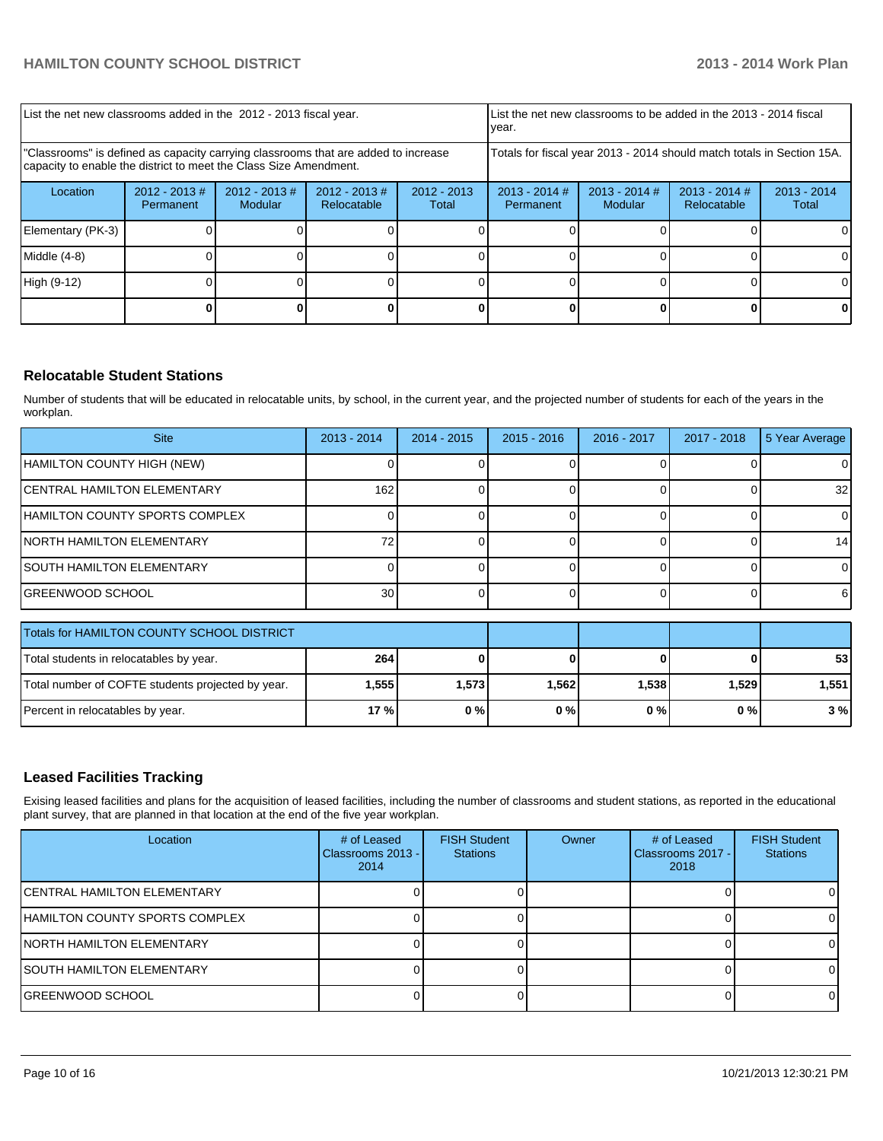|                                                                                                                                                         | List the net new classrooms added in the 2012 - 2013 fiscal year. |                                   |                                |                        |                                                                        | List the net new classrooms to be added in the 2013 - 2014 fiscal<br>Ivear. |  |    |  |
|---------------------------------------------------------------------------------------------------------------------------------------------------------|-------------------------------------------------------------------|-----------------------------------|--------------------------------|------------------------|------------------------------------------------------------------------|-----------------------------------------------------------------------------|--|----|--|
| "Classrooms" is defined as capacity carrying classrooms that are added to increase<br>capacity to enable the district to meet the Class Size Amendment. |                                                                   |                                   |                                |                        | Totals for fiscal year 2013 - 2014 should match totals in Section 15A. |                                                                             |  |    |  |
| Location                                                                                                                                                | $2012 - 2013$ #<br>Permanent                                      | $2012 - 2013$ #<br><b>Modular</b> | $2012 - 2013$ #<br>Relocatable | $2012 - 2013$<br>Total | $2013 - 2014$ #<br>Permanent                                           | $2013 - 2014$<br>Total                                                      |  |    |  |
| Elementary (PK-3)                                                                                                                                       |                                                                   |                                   |                                |                        |                                                                        |                                                                             |  | ΩI |  |
| Middle $(4-8)$                                                                                                                                          |                                                                   |                                   |                                |                        |                                                                        |                                                                             |  | ΟI |  |
| High (9-12)                                                                                                                                             |                                                                   |                                   |                                |                        |                                                                        |                                                                             |  |    |  |
|                                                                                                                                                         |                                                                   |                                   |                                |                        |                                                                        |                                                                             |  |    |  |

# **Relocatable Student Stations**

Number of students that will be educated in relocatable units, by school, in the current year, and the projected number of students for each of the years in the workplan.

| <b>Site</b>                        | 2013 - 2014 | $2014 - 2015$ | $2015 - 2016$ | 2016 - 2017 | 2017 - 2018 | 5 Year Average  |
|------------------------------------|-------------|---------------|---------------|-------------|-------------|-----------------|
| HAMILTON COUNTY HIGH (NEW)         |             |               |               |             |             |                 |
| <b>CENTRAL HAMILTON ELEMENTARY</b> | 162         |               |               |             |             | 32 <sub>l</sub> |
| HAMILTON COUNTY SPORTS COMPLEX     |             |               |               |             |             | $\Omega$        |
| <b>NORTH HAMILTON ELEMENTARY</b>   |             |               |               |             |             | 14              |
| SOUTH HAMILTON ELEMENTARY          |             |               |               |             |             |                 |
| IGREENWOOD SCHOOL                  | 30          |               |               |             |             | 61              |
|                                    |             |               |               |             |             |                 |

| Totals for HAMILTON COUNTY SCHOOL DISTRICT        |       |       |       |       |       |                 |
|---------------------------------------------------|-------|-------|-------|-------|-------|-----------------|
| Total students in relocatables by year.           | 264   |       |       |       |       | 53 <sub>1</sub> |
| Total number of COFTE students projected by year. | .5551 | 1,573 | 1.562 | 1.538 | 1.529 | 1.551           |
| Percent in relocatables by year.                  | 17 %l | 0%    | 0%    | 0 % l | 0%    | 3%              |

# **Leased Facilities Tracking**

Exising leased facilities and plans for the acquisition of leased facilities, including the number of classrooms and student stations, as reported in the educational plant survey, that are planned in that location at the end of the five year workplan.

| Location                               | # of Leased<br>Classrooms 2013 - I<br>2014 | <b>FISH Student</b><br><b>Stations</b> | Owner | # of Leased<br>Classrooms 2017 - I<br>2018 | <b>FISH Student</b><br><b>Stations</b> |
|----------------------------------------|--------------------------------------------|----------------------------------------|-------|--------------------------------------------|----------------------------------------|
| ICENTRAL HAMILTON ELEMENTARY           |                                            |                                        |       |                                            |                                        |
| <b>IHAMILTON COUNTY SPORTS COMPLEX</b> |                                            |                                        |       |                                            |                                        |
| <b>INORTH HAMILTON ELEMENTARY</b>      |                                            |                                        |       |                                            |                                        |
| <b>ISOUTH HAMILTON ELEMENTARY</b>      |                                            |                                        |       |                                            |                                        |
| IGREENWOOD SCHOOL                      |                                            |                                        |       |                                            |                                        |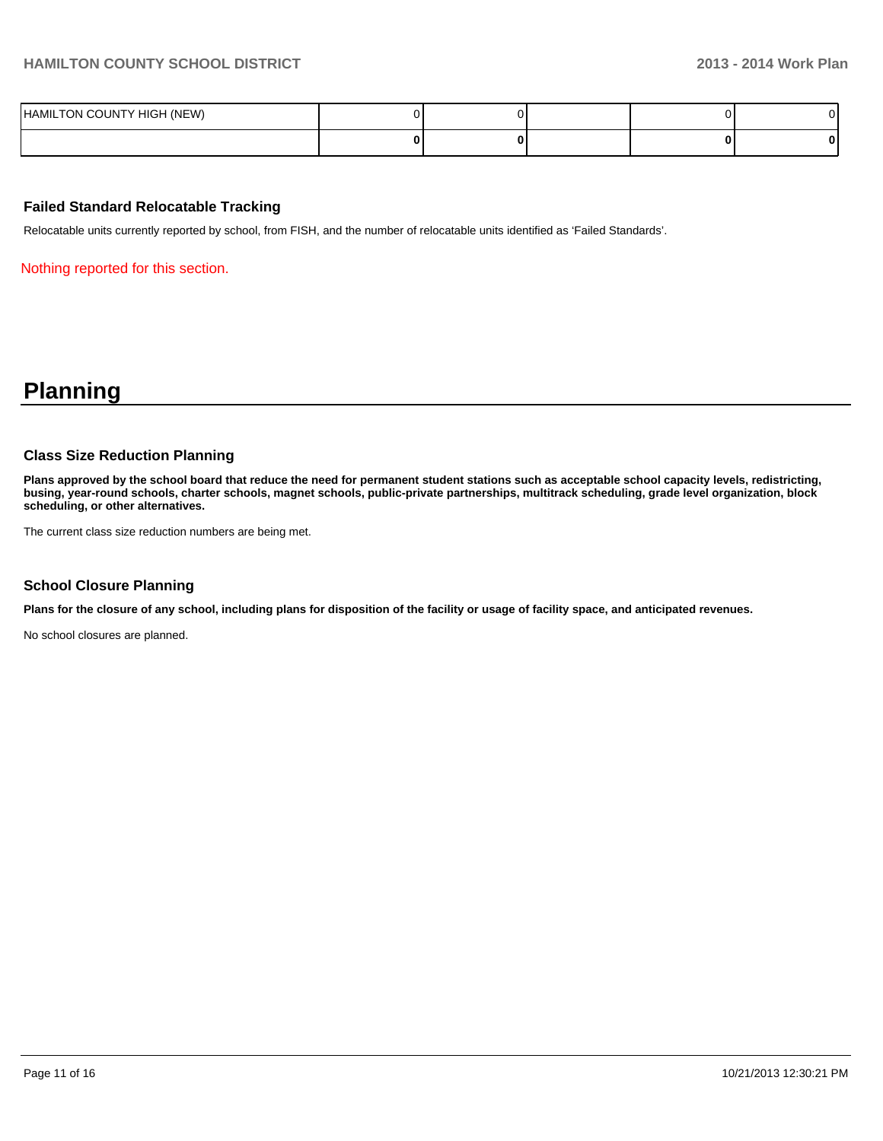| HAMILTON COUNTY HIGH (NEW) |  |  |   |
|----------------------------|--|--|---|
|                            |  |  | o |

#### **Failed Standard Relocatable Tracking**

Relocatable units currently reported by school, from FISH, and the number of relocatable units identified as 'Failed Standards'.

Nothing reported for this section.

# **Planning**

#### **Class Size Reduction Planning**

**Plans approved by the school board that reduce the need for permanent student stations such as acceptable school capacity levels, redistricting, busing, year-round schools, charter schools, magnet schools, public-private partnerships, multitrack scheduling, grade level organization, block scheduling, or other alternatives.**

The current class size reduction numbers are being met.

#### **School Closure Planning**

**Plans for the closure of any school, including plans for disposition of the facility or usage of facility space, and anticipated revenues.**

No school closures are planned.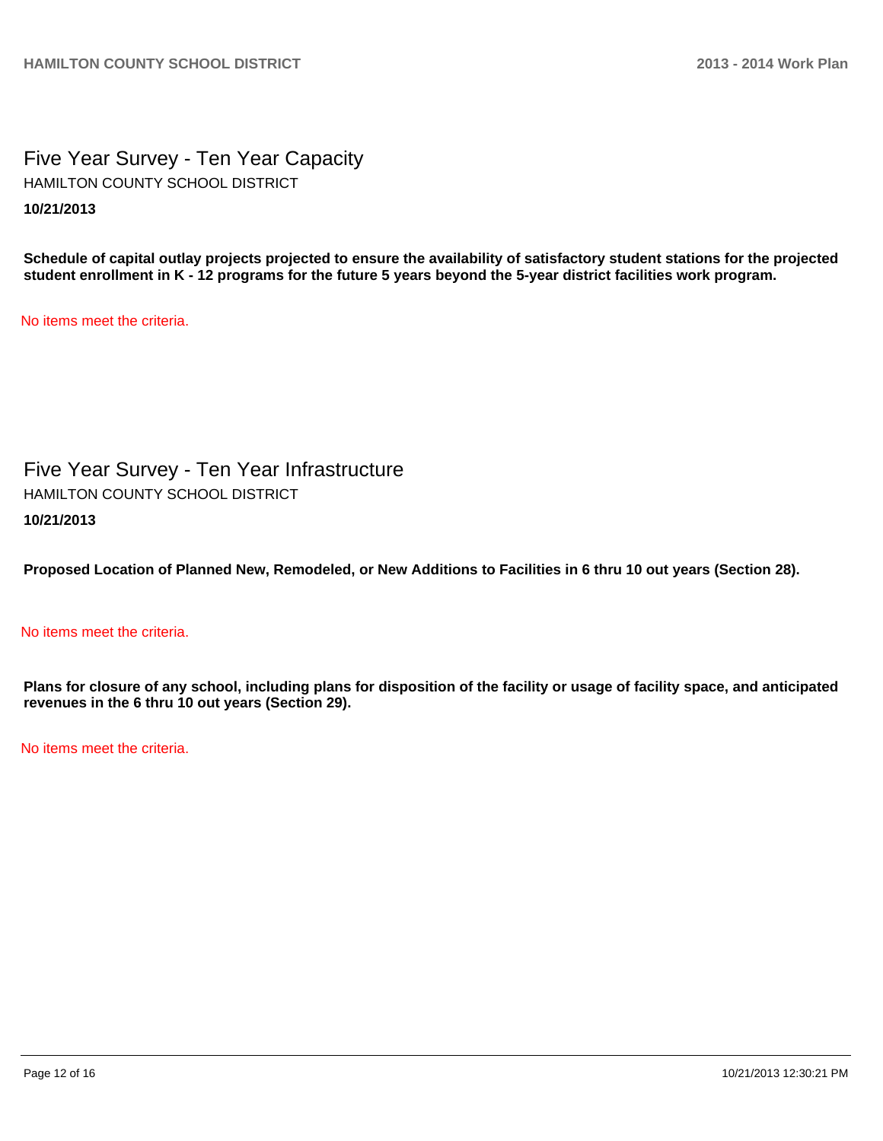Five Year Survey - Ten Year Capacity **10/21/2013** HAMILTON COUNTY SCHOOL DISTRICT

**Schedule of capital outlay projects projected to ensure the availability of satisfactory student stations for the projected student enrollment in K - 12 programs for the future 5 years beyond the 5-year district facilities work program.**

No items meet the criteria.

Five Year Survey - Ten Year Infrastructure **10/21/2013** HAMILTON COUNTY SCHOOL DISTRICT

**Proposed Location of Planned New, Remodeled, or New Additions to Facilities in 6 thru 10 out years (Section 28).**

# No items meet the criteria.

**Plans for closure of any school, including plans for disposition of the facility or usage of facility space, and anticipated revenues in the 6 thru 10 out years (Section 29).**

No items meet the criteria.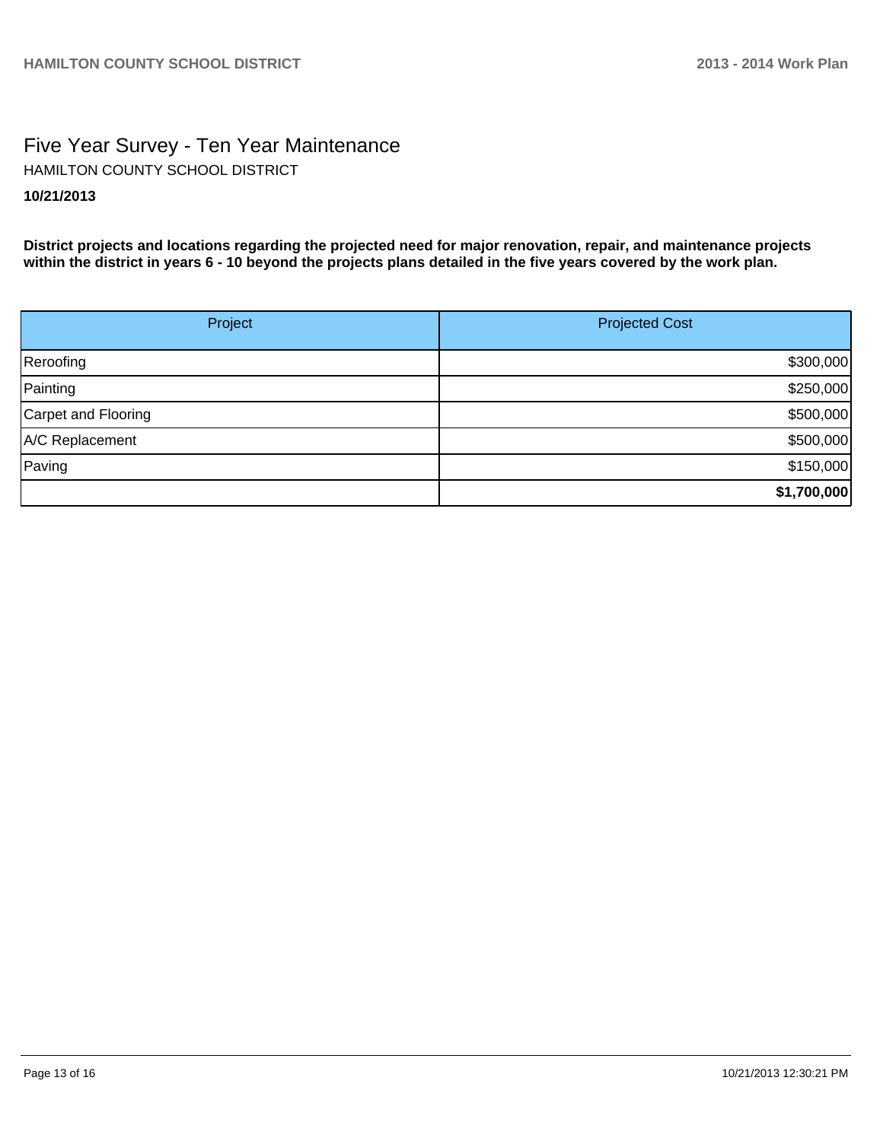# Five Year Survey - Ten Year Maintenance **10/21/2013** HAMILTON COUNTY SCHOOL DISTRICT

**District projects and locations regarding the projected need for major renovation, repair, and maintenance projects within the district in years 6 - 10 beyond the projects plans detailed in the five years covered by the work plan.**

| Project             | <b>Projected Cost</b> |  |  |
|---------------------|-----------------------|--|--|
| Reroofing           | \$300,000             |  |  |
| Painting            | \$250,000             |  |  |
| Carpet and Flooring | \$500,000             |  |  |
| A/C Replacement     | \$500,000             |  |  |
| Paving              | \$150,000             |  |  |
|                     | \$1,700,000           |  |  |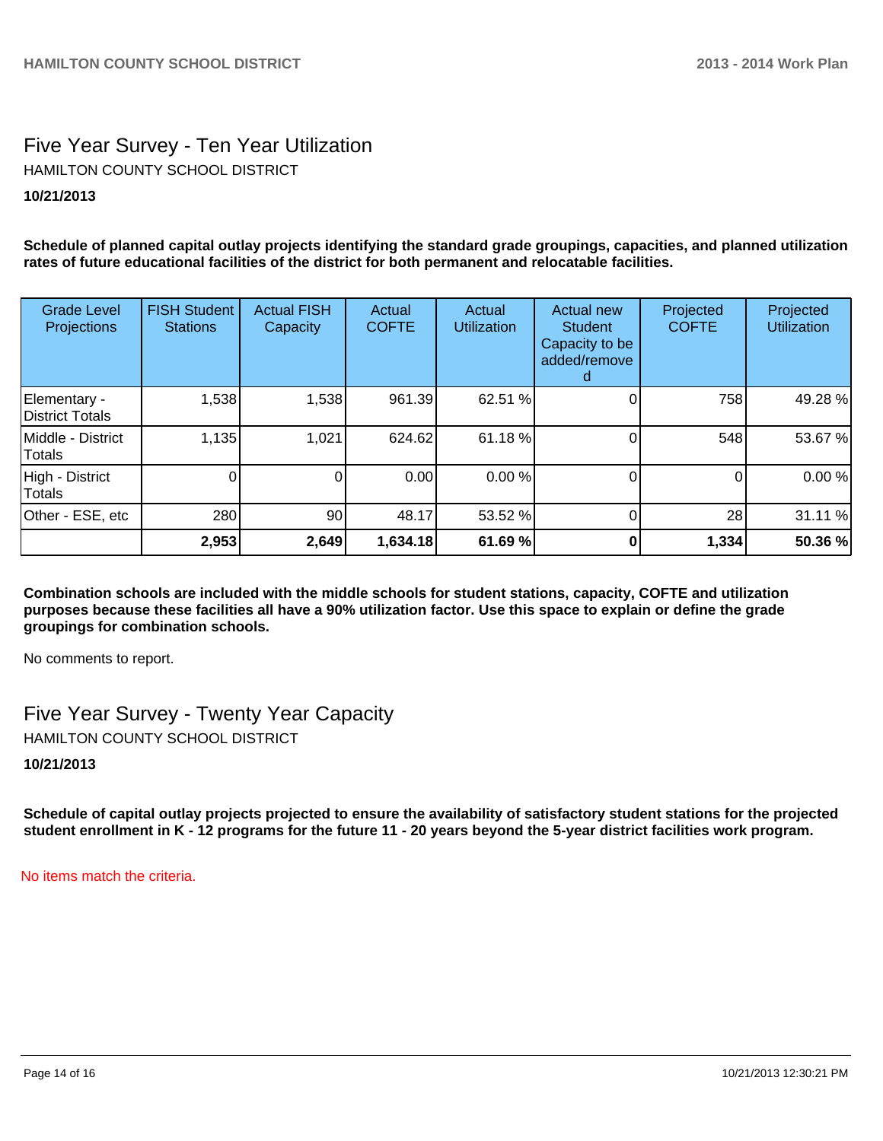# Five Year Survey - Ten Year Utilization HAMILTON COUNTY SCHOOL DISTRICT

# **10/21/2013**

**Schedule of planned capital outlay projects identifying the standard grade groupings, capacities, and planned utilization rates of future educational facilities of the district for both permanent and relocatable facilities.**

| <b>Grade Level</b><br>Projections  | <b>FISH Student</b><br><b>Stations</b> | <b>Actual FISH</b><br>Capacity | Actual<br><b>COFTE</b> | Actual<br><b>Utilization</b> | Actual new<br><b>Student</b><br>Capacity to be<br>added/remove | Projected<br><b>COFTE</b> | Projected<br><b>Utilization</b> |
|------------------------------------|----------------------------------------|--------------------------------|------------------------|------------------------------|----------------------------------------------------------------|---------------------------|---------------------------------|
| Elementary -<br>District Totals    | 1,538                                  | 1,538                          | 961.39                 | 62.51 %                      |                                                                | 758                       | 49.28 %                         |
| Middle - District<br><b>Totals</b> | 1,135                                  | 1,021                          | 624.62                 | 61.18 %                      |                                                                | 548                       | 53.67 %                         |
| High - District<br><b>Totals</b>   |                                        | 0                              | 0.00                   | 0.00 %                       |                                                                | 0                         | 0.00%                           |
| Other - ESE, etc                   | 280                                    | 90                             | 48.17                  | 53.52 %                      |                                                                | 28                        | 31.11 %                         |
|                                    | 2,953                                  | 2,649                          | 1,634.18               | 61.69 %                      |                                                                | 1,334                     | 50.36 %                         |

**Combination schools are included with the middle schools for student stations, capacity, COFTE and utilization purposes because these facilities all have a 90% utilization factor. Use this space to explain or define the grade groupings for combination schools.**

No comments to report.

Five Year Survey - Twenty Year Capacity

HAMILTON COUNTY SCHOOL DISTRICT

**10/21/2013**

**Schedule of capital outlay projects projected to ensure the availability of satisfactory student stations for the projected student enrollment in K - 12 programs for the future 11 - 20 years beyond the 5-year district facilities work program.**

No items match the criteria.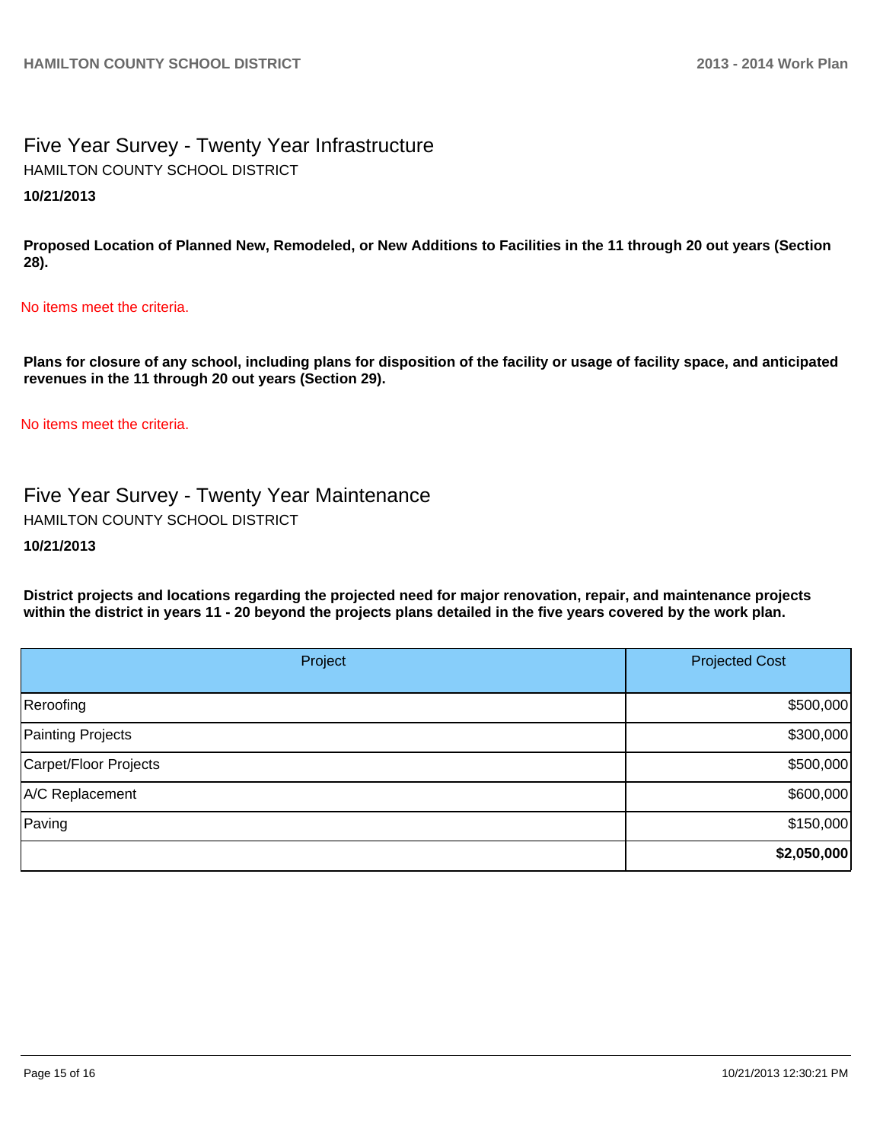# Five Year Survey - Twenty Year Infrastructure HAMILTON COUNTY SCHOOL DISTRICT

# **10/21/2013**

**Proposed Location of Planned New, Remodeled, or New Additions to Facilities in the 11 through 20 out years (Section 28).**

# No items meet the criteria.

**Plans for closure of any school, including plans for disposition of the facility or usage of facility space, and anticipated revenues in the 11 through 20 out years (Section 29).**

No items meet the criteria.

Five Year Survey - Twenty Year Maintenance HAMILTON COUNTY SCHOOL DISTRICT

# **10/21/2013**

**District projects and locations regarding the projected need for major renovation, repair, and maintenance projects within the district in years 11 - 20 beyond the projects plans detailed in the five years covered by the work plan.**

| Project               | <b>Projected Cost</b> |  |
|-----------------------|-----------------------|--|
| Reroofing             | \$500,000             |  |
| Painting Projects     | \$300,000             |  |
| Carpet/Floor Projects | \$500,000             |  |
| A/C Replacement       | \$600,000             |  |
| Paving                | \$150,000             |  |
|                       | \$2,050,000           |  |